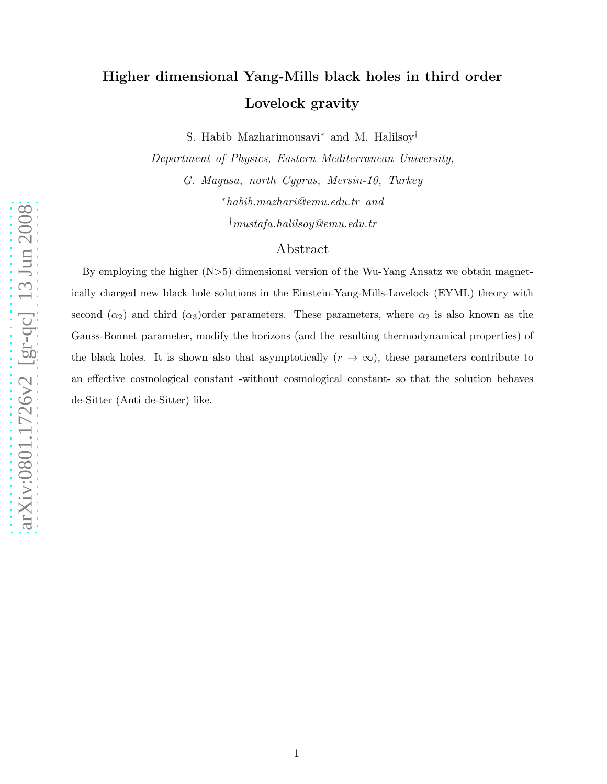# Higher dimensional Yang-Mills black holes in third order Lovelock gravity

S. Habib Mazharimousavi<sup>∗</sup> and M. Halilsoy<sup>†</sup>

Department of Physics, Eastern Mediterranean University,

G. Magusa, north Cyprus, Mersin-10, Turkey <sup>∗</sup>habib.mazhari@emu.edu.tr and

†mustafa.halilsoy@emu.edu.tr

# Abstract

By employing the higher (N >5) dimensional version of the Wu-Yang Ansatz we obtain magnetically charged new black hole solutions in the Einstein-Yang-Mills-Lovelock (EYML) theory with second  $(\alpha_2)$  and third  $(\alpha_3)$ order parameters. These parameters, where  $\alpha_2$  is also known as the Gauss-Bonnet parameter, modify the horizons (and the resulting thermodynamical properties) of the black holes. It is shown also that asymptotically  $(r \to \infty)$ , these parameters contribute to an effective cosmological constant -without cosmological constant- so that the solution behaves de-Sitter (Anti de-Sitter) like.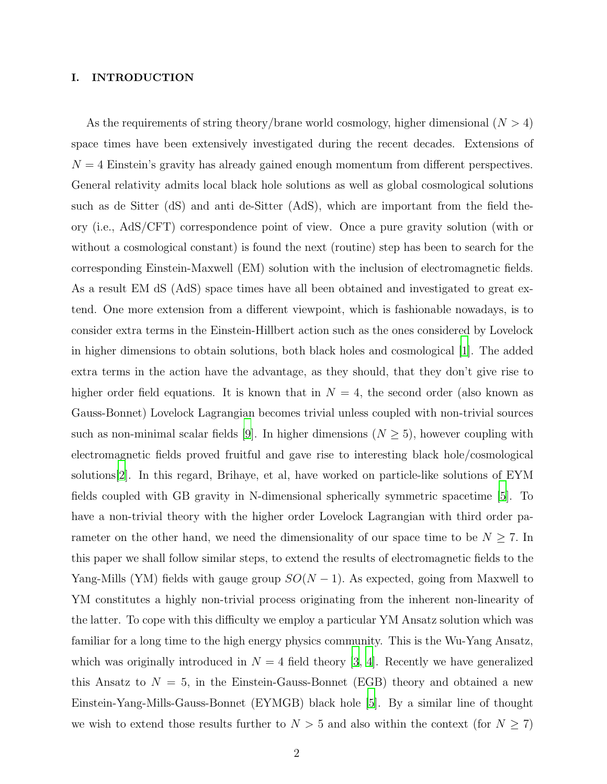## I. INTRODUCTION

As the requirements of string theory/brane world cosmology, higher dimensional  $(N > 4)$ space times have been extensively investigated during the recent decades. Extensions of  $N = 4$  Einstein's gravity has already gained enough momentum from different perspectives. General relativity admits local black hole solutions as well as global cosmological solutions such as de Sitter (dS) and anti de-Sitter (AdS), which are important from the field theory (i.e., AdS/CFT) correspondence point of view. Once a pure gravity solution (with or without a cosmological constant) is found the next (routine) step has been to search for the corresponding Einstein-Maxwell (EM) solution with the inclusion of electromagnetic fields. As a result EM dS (AdS) space times have all been obtained and investigated to great extend. One more extension from a different viewpoint, which is fashionable nowadays, is to consider extra terms in the Einstein-Hillbert action such as the ones considered by Lovelock in higher dimensions to obtain solutions, both black holes and cosmological [\[1\]](#page-12-0). The added extra terms in the action have the advantage, as they should, that they don't give rise to higher order field equations. It is known that in  $N = 4$ , the second order (also known as Gauss-Bonnet) Lovelock Lagrangian becomes trivial unless coupled with non-trivial sources such as non-minimal scalar fields [\[9](#page-12-1)]. In higher dimensions  $(N \geq 5)$ , however coupling with electromagnetic fields proved fruitful and gave rise to interesting black hole/cosmological solutions[\[2](#page-12-2)]. In this regard, Brihaye, et al, have worked on particle-like solutions of EYM fields coupled with GB gravity in N-dimensional spherically symmetric spacetime [\[5\]](#page-12-3). To have a non-trivial theory with the higher order Lovelock Lagrangian with third order parameter on the other hand, we need the dimensionality of our space time to be  $N \geq 7$ . In this paper we shall follow similar steps, to extend the results of electromagnetic fields to the Yang-Mills (YM) fields with gauge group  $SO(N-1)$ . As expected, going from Maxwell to YM constitutes a highly non-trivial process originating from the inherent non-linearity of the latter. To cope with this difficulty we employ a particular YM Ansatz solution which was familiar for a long time to the high energy physics community. This is the Wu-Yang Ansatz, which was originally introduced in  $N = 4$  field theory [\[3](#page-12-4), [4\]](#page-12-5). Recently we have generalized this Ansatz to  $N = 5$ , in the Einstein-Gauss-Bonnet (EGB) theory and obtained a new Einstein-Yang-Mills-Gauss-Bonnet (EYMGB) black hole [\[5\]](#page-12-3). By a similar line of thought we wish to extend those results further to  $N > 5$  and also within the context (for  $N \ge 7$ )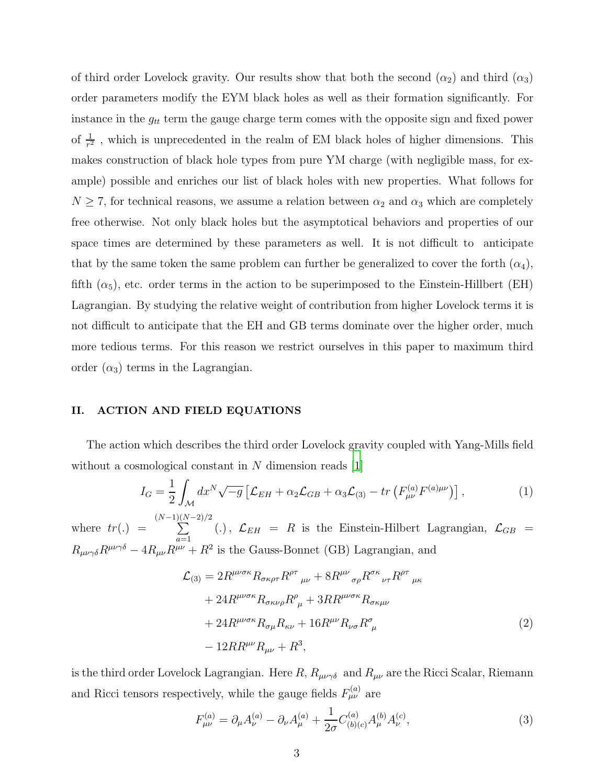of third order Lovelock gravity. Our results show that both the second  $(\alpha_2)$  and third  $(\alpha_3)$ order parameters modify the EYM black holes as well as their formation significantly. For instance in the  $g_{tt}$  term the gauge charge term comes with the opposite sign and fixed power of  $\frac{1}{r^2}$ , which is unprecedented in the realm of EM black holes of higher dimensions. This makes construction of black hole types from pure YM charge (with negligible mass, for example) possible and enriches our list of black holes with new properties. What follows for  $N \geq 7$ , for technical reasons, we assume a relation between  $\alpha_2$  and  $\alpha_3$  which are completely free otherwise. Not only black holes but the asymptotical behaviors and properties of our space times are determined by these parameters as well. It is not difficult to anticipate that by the same token the same problem can further be generalized to cover the forth  $(\alpha_4)$ , fifth  $(\alpha_5)$ , etc. order terms in the action to be superimposed to the Einstein-Hillbert (EH) Lagrangian. By studying the relative weight of contribution from higher Lovelock terms it is not difficult to anticipate that the EH and GB terms dominate over the higher order, much more tedious terms. For this reason we restrict ourselves in this paper to maximum third order  $(\alpha_3)$  terms in the Lagrangian.

### II. ACTION AND FIELD EQUATIONS

The action which describes the third order Lovelock gravity coupled with Yang-Mills field without a cosmological constant in  $N$  dimension reads [\[1](#page-12-0)]

$$
I_G = \frac{1}{2} \int_{\mathcal{M}} dx^N \sqrt{-g} \left[ \mathcal{L}_{EH} + \alpha_2 \mathcal{L}_{GB} + \alpha_3 \mathcal{L}_{(3)} - tr \left( F_{\mu\nu}^{(a)} F^{(a)\mu\nu} \right) \right],\tag{1}
$$

where  $tr(.) =$  $(N-1)($  $\sum$  $(N-2)/2$  $\sum_{a=1}$  (.),  $\mathcal{L}_{EH} = R$  is the Einstein-Hilbert Lagrangian,  $\mathcal{L}_{GB} =$  $R_{\mu\nu\gamma\delta}R^{\mu\nu\gamma\delta} - 4R_{\mu\nu}R^{\mu\nu} + R^2$  is the Gauss-Bonnet (GB) Lagrangian, and

$$
\mathcal{L}_{(3)} = 2R^{\mu\nu\sigma\kappa} R_{\sigma\kappa\rho\tau} R^{\rho\tau}{}_{\mu\nu} + 8R^{\mu\nu}{}_{\sigma\rho} R^{\sigma\kappa}{}_{\nu\tau} R^{\rho\tau}{}_{\mu\kappa} \n+ 24R^{\mu\nu\sigma\kappa} R_{\sigma\kappa\nu\rho} R^{\rho}{}_{\mu} + 3R R^{\mu\nu\sigma\kappa} R_{\sigma\kappa\mu\nu} \n+ 24R^{\mu\nu\sigma\kappa} R_{\sigma\mu} R_{\kappa\nu} + 16R^{\mu\nu} R_{\nu\sigma} R^{\sigma}{}_{\mu} \n- 12R R^{\mu\nu} R_{\mu\nu} + R^3,
$$
\n(2)

is the third order Lovelock Lagrangian. Here  $R$ ,  $R_{\mu\nu\gamma\delta}$  and  $R_{\mu\nu}$  are the Ricci Scalar, Riemann and Ricci tensors respectively, while the gauge fields  $F_{\mu\nu}^{(a)}$  are

$$
F_{\mu\nu}^{(a)} = \partial_{\mu}A_{\nu}^{(a)} - \partial_{\nu}A_{\mu}^{(a)} + \frac{1}{2\sigma}C_{(b)(c)}^{(a)}A_{\mu}^{(b)}A_{\nu}^{(c)},\tag{3}
$$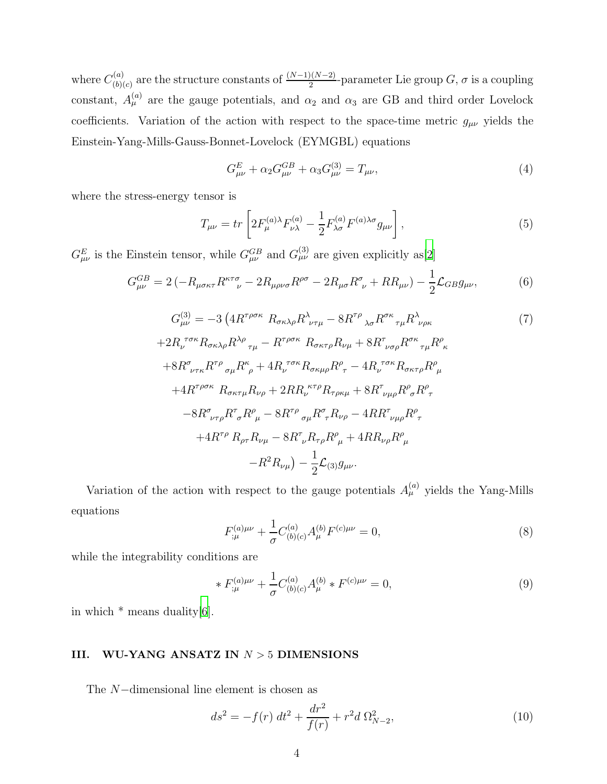where  $C^{(a)}_{(b)}$  $\binom{a}{b(c)}$  are the structure constants of  $\frac{(N-1)(N-2)}{2}$ -parameter Lie group  $G, \sigma$  is a coupling constant,  $A_{\mu}^{(a)}$  are the gauge potentials, and  $\alpha_2$  and  $\alpha_3$  are GB and third order Lovelock coefficients. Variation of the action with respect to the space-time metric  $g_{\mu\nu}$  yields the Einstein-Yang-Mills-Gauss-Bonnet-Lovelock (EYMGBL) equations

$$
G_{\mu\nu}^{E} + \alpha_2 G_{\mu\nu}^{GB} + \alpha_3 G_{\mu\nu}^{(3)} = T_{\mu\nu},\tag{4}
$$

where the stress-energy tensor is

$$
T_{\mu\nu} = tr \left[ 2F_{\mu}^{(a)\lambda} F_{\nu\lambda}^{(a)} - \frac{1}{2} F_{\lambda\sigma}^{(a)} F^{(a)\lambda\sigma} g_{\mu\nu} \right],
$$
 (5)

 $G_{\mu\nu}^{E}$  is the Einstein tensor, while  $G_{\mu\nu}^{GB}$  and  $G_{\mu\nu}^{(3)}$  are given explicitly as[\[2\]](#page-12-2)

$$
G_{\mu\nu}^{GB} = 2\left(-R_{\mu\sigma\kappa\tau}R^{\kappa\tau\sigma}_{\quad \nu} - 2R_{\mu\rho\nu\sigma}R^{\rho\sigma} - 2R_{\mu\sigma}R^{\sigma}_{\ \nu} + RR_{\mu\nu}\right) - \frac{1}{2}\mathcal{L}_{GB}g_{\mu\nu},\tag{6}
$$

$$
G_{\mu\nu}^{(3)} = -3 \left( 4R^{\tau\rho\sigma\kappa} R_{\sigma\kappa\lambda\rho} R^{\lambda}_{\nu\tau\mu} - 8R^{\tau\rho} {}_{\lambda\sigma} R^{\sigma\kappa}{}_{\tau\mu} R^{\lambda}_{\nu\rho\kappa} \right)
$$
\n
$$
+2R_{\nu}^{\ \tau\sigma\kappa} R_{\sigma\kappa\lambda\rho} R^{\lambda\rho}{}_{\tau\mu} - R^{\tau\rho\sigma\kappa} R_{\sigma\kappa\tau\rho} R_{\nu\mu} + 8R^{\tau}{}_{\nu\sigma\rho} R^{\sigma\kappa}{}_{\tau\mu} R^{\rho}{}_{\kappa}
$$
\n
$$
+8R^{\sigma}{}_{\nu\tau\kappa} R^{\tau\rho}{}_{\sigma\mu} R^{\kappa}{}_{\rho} + 4R_{\nu}^{\ \tau\sigma\kappa} R_{\sigma\kappa\mu\rho} R^{\rho}{}_{\tau} - 4R_{\nu}^{\ \tau\sigma\kappa} R_{\sigma\kappa\tau\rho} R^{\rho}{}_{\mu}
$$
\n
$$
+4R^{\tau\rho\sigma\kappa} R_{\sigma\kappa\tau\mu} R_{\nu\rho} + 2R R_{\nu}^{\ \kappa\tau\rho} R_{\tau\rho\kappa\mu} + 8R^{\tau}{}_{\nu\mu\rho} R^{\rho}{}_{\sigma} R^{\rho}{}_{\tau}
$$
\n
$$
-8R^{\sigma}{}_{\nu\tau\rho} R^{\tau}{}_{\sigma} R^{\rho}{}_{\mu} - 8R^{\tau\rho}{}_{\sigma\mu} R^{\sigma}{}_{\tau} R_{\nu\rho} - 4R R^{\tau}{}_{\nu\mu\rho} R^{\rho}{}_{\tau}
$$
\n
$$
+4R^{\tau\rho} R_{\rho\tau} R_{\nu\mu} - 8R^{\tau}{}_{\nu} R_{\tau\rho} R^{\rho}{}_{\mu} + 4R R_{\nu\rho} R^{\rho}{}_{\mu}
$$
\n
$$
-R^2 R_{\nu\mu} \right) - \frac{1}{2} \mathcal{L}_{(3)} g_{\mu\nu}.
$$
\n(7)

Variation of the action with respect to the gauge potentials  $A_{\mu}^{(a)}$  yields the Yang-Mills equations

$$
F_{;\mu}^{(a)\mu\nu} + \frac{1}{\sigma} C_{(b)(c)}^{(a)} A_{\mu}^{(b)} F^{(c)\mu\nu} = 0,
$$
\n(8)

while the integrability conditions are

$$
* F_{;\mu}^{(a)\mu\nu} + \frac{1}{\sigma} C_{(b)(c)}^{(a)} A_{\mu}^{(b)} * F^{(c)\mu\nu} = 0,
$$
\n(9)

in which  $*$  means duality[\[6\]](#page-12-6).

# III. WU-YANG ANSATZ IN  $N > 5$  DIMENSIONS

The N−dimensional line element is chosen as

$$
ds^{2} = -f(r) dt^{2} + \frac{dr^{2}}{f(r)} + r^{2} d \Omega_{N-2}^{2},
$$
\n(10)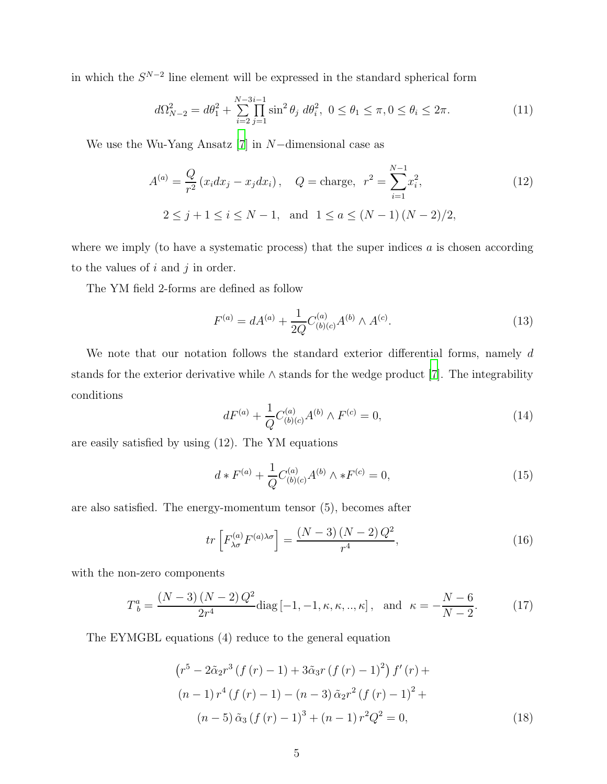in which the  $S^{N-2}$  line element will be expressed in the standard spherical form

$$
d\Omega_{N-2}^2 = d\theta_1^2 + \sum_{i=2}^{N-3i-1} \prod_{j=1}^{N-3i-1} \sin^2 \theta_j \ d\theta_i^2, \ 0 \le \theta_1 \le \pi, 0 \le \theta_i \le 2\pi. \tag{11}
$$

We use the Wu-Yang Ansatz  $[7]$  in N-dimensional case as

$$
A^{(a)} = \frac{Q}{r^2} (x_i dx_j - x_j dx_i), \quad Q = \text{charge}, \quad r^2 = \sum_{i=1}^{N-1} x_i^2,
$$
  

$$
2 \le j+1 \le i \le N-1, \text{ and } 1 \le a \le (N-1)(N-2)/2,
$$
 (12)

where we imply (to have a systematic process) that the super indices  $a$  is chosen according to the values of  $i$  and  $j$  in order.

The YM field 2-forms are defined as follow

$$
F^{(a)} = dA^{(a)} + \frac{1}{2Q} C^{(a)}_{(b)(c)} A^{(b)} \wedge A^{(c)}.
$$
 (13)

We note that our notation follows the standard exterior differential forms, namely  $d$ stands for the exterior derivative while ∧ stands for the wedge product [\[7](#page-12-7)]. The integrability conditions

$$
dF^{(a)} + \frac{1}{Q}C^{(a)}_{(b)(c)}A^{(b)} \wedge F^{(c)} = 0,
$$
\n(14)

are easily satisfied by using (12). The YM equations

$$
d * F^{(a)} + \frac{1}{Q} C^{(a)}_{(b)(c)} A^{(b)} \wedge *F^{(c)} = 0,
$$
\n(15)

are also satisfied. The energy-momentum tensor (5), becomes after

$$
tr\left[F_{\lambda\sigma}^{(a)}F^{(a)\lambda\sigma}\right] = \frac{(N-3)(N-2)Q^2}{r^4},\tag{16}
$$

with the non-zero components

$$
T_b^a = \frac{(N-3)(N-2)Q^2}{2r^4} \text{diag}[-1, -1, \kappa, \kappa, \dots, \kappa], \text{ and } \kappa = -\frac{N-6}{N-2}.
$$
 (17)

The EYMGBL equations (4) reduce to the general equation

$$
(r^{5} - 2\tilde{\alpha}_{2}r^{3}(f(r) - 1) + 3\tilde{\alpha}_{3}r(f(r) - 1)^{2}) f'(r) +
$$
  
\n
$$
(n - 1) r^{4}(f(r) - 1) - (n - 3)\tilde{\alpha}_{2}r^{2}(f(r) - 1)^{2} +
$$
  
\n
$$
(n - 5)\tilde{\alpha}_{3}(f(r) - 1)^{3} + (n - 1)r^{2}Q^{2} = 0,
$$
\n(18)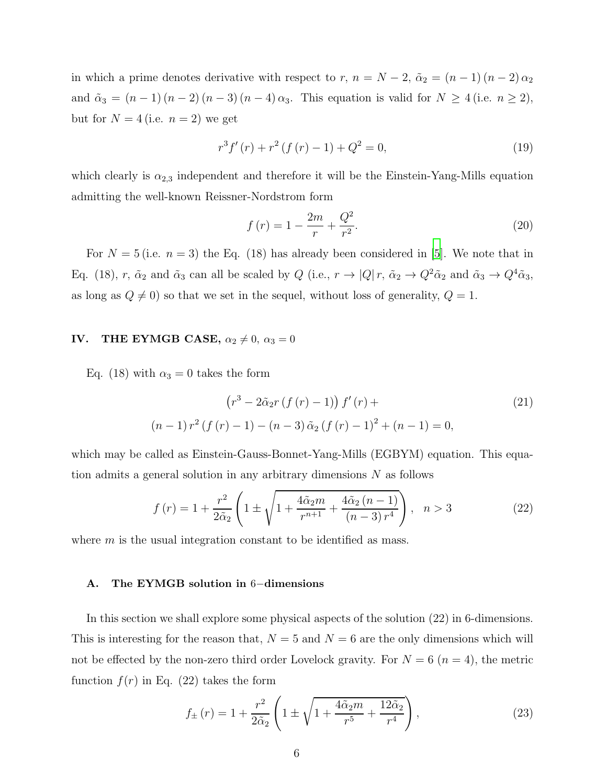in which a prime denotes derivative with respect to r,  $n = N - 2$ ,  $\tilde{\alpha}_2 = (n - 1)(n - 2)\alpha_2$ and  $\tilde{\alpha}_3 = (n-1)(n-2)(n-3)(n-4)\alpha_3$ . This equation is valid for  $N \ge 4$  (i.e.  $n \ge 2$ ), but for  $N = 4$  (i.e.  $n = 2$ ) we get

$$
r^{3} f'(r) + r^{2} (f(r) - 1) + Q^{2} = 0,
$$
\n(19)

which clearly is  $\alpha_{2,3}$  independent and therefore it will be the Einstein-Yang-Mills equation admitting the well-known Reissner-Nordstrom form

$$
f(r) = 1 - \frac{2m}{r} + \frac{Q^2}{r^2}.
$$
\n(20)

For  $N = 5$  (i.e.  $n = 3$ ) the Eq. (18) has already been considered in [\[5](#page-12-3)]. We note that in Eq. (18), r,  $\tilde{\alpha}_2$  and  $\tilde{\alpha}_3$  can all be scaled by Q (i.e.,  $r \to |Q| r$ ,  $\tilde{\alpha}_2 \to Q^2 \tilde{\alpha}_2$  and  $\tilde{\alpha}_3 \to Q^4 \tilde{\alpha}_3$ , as long as  $Q \neq 0$ ) so that we set in the sequel, without loss of generality,  $Q = 1$ .

# IV. THE EYMGB CASE,  $\alpha_2 \neq 0$ ,  $\alpha_3 = 0$

Eq. (18) with  $\alpha_3 = 0$  takes the form

$$
(r3 - 2\tilde{\alpha}_2 r (f (r) - 1)) f'(r) +
$$
  
(n-1)  $r2 (f (r) - 1) - (n - 3) \tilde{\alpha}_2 (f (r) - 1)2 + (n - 1) = 0,$  (21)

which may be called as Einstein-Gauss-Bonnet-Yang-Mills (EGBYM) equation. This equation admits a general solution in any arbitrary dimensions N as follows

$$
f(r) = 1 + \frac{r^2}{2\tilde{\alpha}_2} \left( 1 \pm \sqrt{1 + \frac{4\tilde{\alpha}_2 m}{r^{n+1}} + \frac{4\tilde{\alpha}_2 (n-1)}{(n-3) r^4}} \right), \quad n > 3
$$
 (22)

where  $m$  is the usual integration constant to be identified as mass.

### A. The EYMGB solution in 6−dimensions

In this section we shall explore some physical aspects of the solution (22) in 6-dimensions. This is interesting for the reason that,  $N = 5$  and  $N = 6$  are the only dimensions which will not be effected by the non-zero third order Lovelock gravity. For  $N = 6$   $(n = 4)$ , the metric function  $f(r)$  in Eq. (22) takes the form

$$
f_{\pm}(r) = 1 + \frac{r^2}{2\tilde{\alpha}_2} \left( 1 \pm \sqrt{1 + \frac{4\tilde{\alpha}_2 m}{r^5} + \frac{12\tilde{\alpha}_2}{r^4}} \right),\tag{23}
$$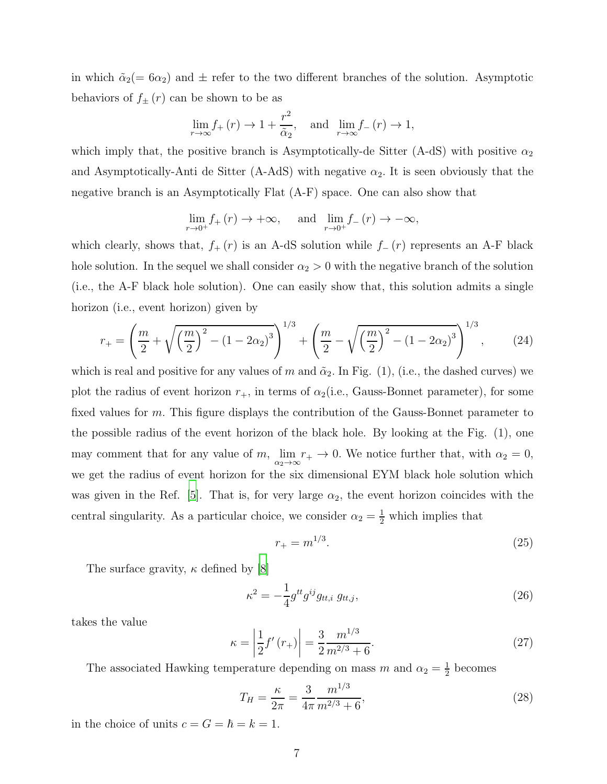in which  $\tilde{\alpha}_2$  = 6 $\alpha_2$ ) and  $\pm$  refer to the two different branches of the solution. Asymptotic behaviors of  $f_{\pm}(r)$  can be shown to be as

$$
\lim_{r \to \infty} f_+(r) \to 1 + \frac{r^2}{\tilde{\alpha}_2}, \text{ and } \lim_{r \to \infty} f_-(r) \to 1,
$$

which imply that, the positive branch is Asymptotically-de Sitter (A-dS) with positive  $\alpha_2$ and Asymptotically-Anti de Sitter (A-AdS) with negative  $\alpha_2$ . It is seen obviously that the negative branch is an Asymptotically Flat (A-F) space. One can also show that

$$
\lim_{r \to 0^+} f_+(r) \to +\infty, \quad \text{and} \quad \lim_{r \to 0^+} f_-(r) \to -\infty,
$$

which clearly, shows that,  $f_+(r)$  is an A-dS solution while  $f_-(r)$  represents an A-F black hole solution. In the sequel we shall consider  $\alpha_2 > 0$  with the negative branch of the solution (i.e., the A-F black hole solution). One can easily show that, this solution admits a single horizon (i.e., event horizon) given by

$$
r_{+} = \left(\frac{m}{2} + \sqrt{\left(\frac{m}{2}\right)^{2} - \left(1 - 2\alpha_{2}\right)^{3}}\right)^{1/3} + \left(\frac{m}{2} - \sqrt{\left(\frac{m}{2}\right)^{2} - \left(1 - 2\alpha_{2}\right)^{3}}\right)^{1/3},\tag{24}
$$

which is real and positive for any values of m and  $\tilde{\alpha}_2$ . In Fig. (1), (i.e., the dashed curves) we plot the radius of event horizon  $r_+$ , in terms of  $\alpha_2$  (i.e., Gauss-Bonnet parameter), for some fixed values for m. This figure displays the contribution of the Gauss-Bonnet parameter to the possible radius of the event horizon of the black hole. By looking at the Fig. (1), one may comment that for any value of m,  $\lim_{\alpha_2 \to \infty} r_+ \to 0$ . We notice further that, with  $\alpha_2 = 0$ , we get the radius of event horizon for the six dimensional EYM black hole solution which was given in the Ref. [\[5\]](#page-12-3). That is, for very large  $\alpha_2$ , the event horizon coincides with the central singularity. As a particular choice, we consider  $\alpha_2 = \frac{1}{2}$  which implies that

$$
r_{+} = m^{1/3}.
$$
\n(25)

The surface gravity,  $\kappa$  defined by [\[8\]](#page-12-8)

$$
\kappa^2 = -\frac{1}{4} g^{tt} g^{ij} g_{tt,i} \ g_{tt,j},\tag{26}
$$

takes the value

$$
\kappa = \left| \frac{1}{2} f'(r_+) \right| = \frac{3}{2} \frac{m^{1/3}}{m^{2/3} + 6}.
$$
\n(27)

The associated Hawking temperature depending on mass m and  $\alpha_2 = \frac{1}{2}$  $\frac{1}{2}$  becomes

$$
T_H = \frac{\kappa}{2\pi} = \frac{3}{4\pi} \frac{m^{1/3}}{m^{2/3} + 6},\tag{28}
$$

in the choice of units  $c = G = \hbar = k = 1$ .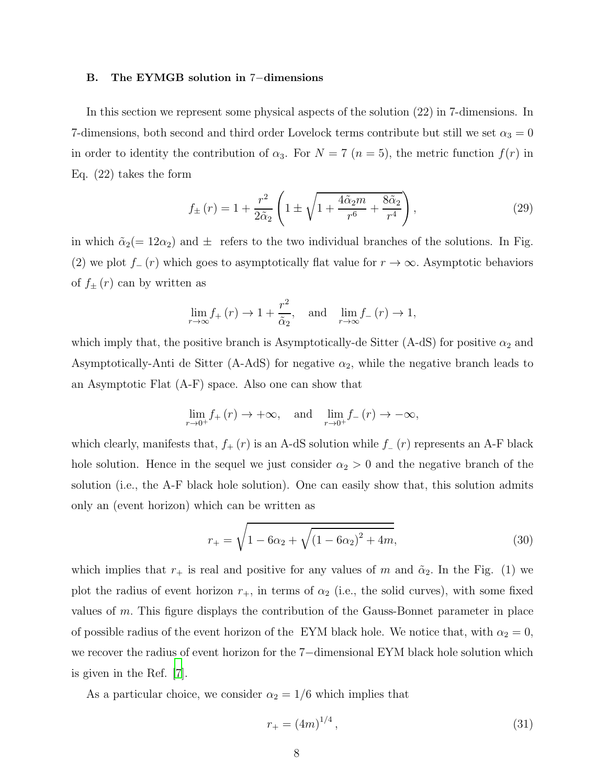#### B. The EYMGB solution in 7−dimensions

In this section we represent some physical aspects of the solution (22) in 7-dimensions. In 7-dimensions, both second and third order Lovelock terms contribute but still we set  $\alpha_3 = 0$ in order to identity the contribution of  $\alpha_3$ . For  $N = 7$   $(n = 5)$ , the metric function  $f(r)$  in Eq. (22) takes the form

$$
f_{\pm}(r) = 1 + \frac{r^2}{2\tilde{\alpha}_2} \left( 1 \pm \sqrt{1 + \frac{4\tilde{\alpha}_2 m}{r^6} + \frac{8\tilde{\alpha}_2}{r^4}} \right),
$$
 (29)

in which  $\tilde{\alpha}_2(= 12\alpha_2)$  and  $\pm$  refers to the two individual branches of the solutions. In Fig. (2) we plot  $f_-(r)$  which goes to asymptotically flat value for  $r \to \infty$ . Asymptotic behaviors of  $f_{\pm}(r)$  can by written as

$$
\lim_{r \to \infty} f_+(r) \to 1 + \frac{r^2}{\tilde{\alpha}_2}, \quad \text{and} \quad \lim_{r \to \infty} f_-(r) \to 1,
$$

which imply that, the positive branch is Asymptotically-de Sitter (A-dS) for positive  $\alpha_2$  and Asymptotically-Anti de Sitter (A-AdS) for negative  $\alpha_2$ , while the negative branch leads to an Asymptotic Flat (A-F) space. Also one can show that

$$
\lim_{r \to 0^+} f_+(r) \to +\infty, \quad \text{and} \quad \lim_{r \to 0^+} f_-(r) \to -\infty,
$$

which clearly, manifests that,  $f_+(r)$  is an A-dS solution while  $f_-(r)$  represents an A-F black hole solution. Hence in the sequel we just consider  $\alpha_2 > 0$  and the negative branch of the solution (i.e., the A-F black hole solution). One can easily show that, this solution admits only an (event horizon) which can be written as

$$
r_{+} = \sqrt{1 - 6\alpha_2 + \sqrt{(1 - 6\alpha_2)^2 + 4m}},
$$
\n(30)

which implies that  $r_+$  is real and positive for any values of m and  $\tilde{\alpha}_2$ . In the Fig. (1) we plot the radius of event horizon  $r_{+}$ , in terms of  $\alpha_{2}$  (i.e., the solid curves), with some fixed values of m. This figure displays the contribution of the Gauss-Bonnet parameter in place of possible radius of the event horizon of the EYM black hole. We notice that, with  $\alpha_2 = 0$ , we recover the radius of event horizon for the 7−dimensional EYM black hole solution which is given in the Ref. [\[7](#page-12-7)].

As a particular choice, we consider  $\alpha_2 = 1/6$  which implies that

$$
r_{+} = (4m)^{1/4},\tag{31}
$$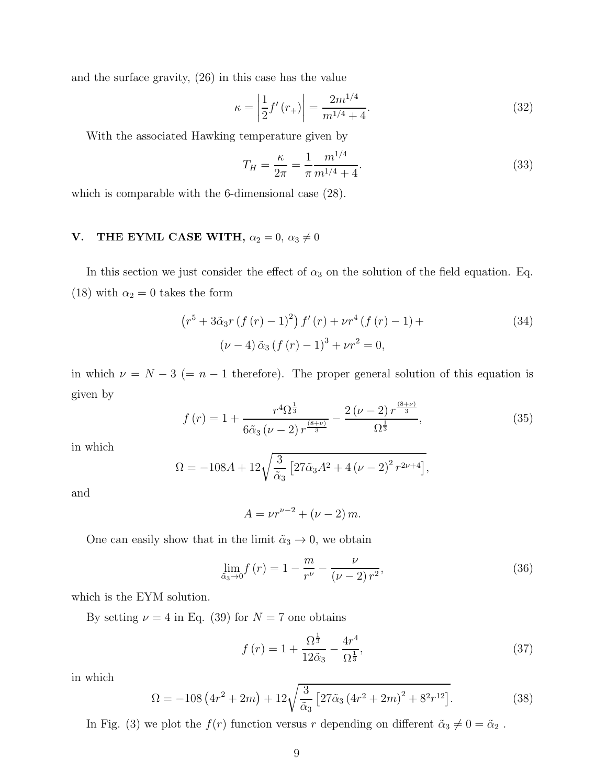and the surface gravity, (26) in this case has the value

$$
\kappa = \left| \frac{1}{2} f'(r_+) \right| = \frac{2m^{1/4}}{m^{1/4} + 4}.
$$
\n(32)

With the associated Hawking temperature given by

$$
T_H = \frac{\kappa}{2\pi} = \frac{1}{\pi} \frac{m^{1/4}}{m^{1/4} + 4}.
$$
\n(33)

which is comparable with the 6-dimensional case (28).

# **V.** THE EYML CASE WITH,  $\alpha_2 = 0$ ,  $\alpha_3 \neq 0$

In this section we just consider the effect of  $\alpha_3$  on the solution of the field equation. Eq. (18) with  $\alpha_2 = 0$  takes the form

$$
(r5 + 3\tilde{\alpha}_3 r (f (r) - 1)2) f'(r) + \nu r4 (f (r) - 1) +
$$
  
( $\nu - 4$ )  $\tilde{\alpha}_3$  (f (r) - 1)<sup>3</sup> +  $\nu r2 = 0$ , (34)

in which  $\nu = N - 3$  (= n – 1 therefore). The proper general solution of this equation is given by

$$
f(r) = 1 + \frac{r^4 \Omega^{\frac{1}{3}}}{6\tilde{\alpha}_3 (\nu - 2) r^{\frac{(8+\nu)}{3}}} - \frac{2(\nu - 2) r^{\frac{(8+\nu)}{3}}}{\Omega^{\frac{1}{3}}},
$$
(35)

in which

$$
\Omega = -108A + 12\sqrt{\frac{3}{\tilde{\alpha}_3} \left[27\tilde{\alpha}_3 A^2 + 4(\nu - 2)^2 r^{2\nu + 4}\right]},
$$

and

$$
A = \nu r^{\nu - 2} + (\nu - 2) m.
$$

One can easily show that in the limit  $\tilde{\alpha}_3 \to 0$ , we obtain

$$
\lim_{\tilde{\alpha}_3 \to 0} f(r) = 1 - \frac{m}{r^{\nu}} - \frac{\nu}{(\nu - 2) r^2},\tag{36}
$$

which is the EYM solution.

By setting  $\nu = 4$  in Eq. (39) for  $N = 7$  one obtains

$$
f(r) = 1 + \frac{\Omega^{\frac{1}{3}}}{12\tilde{\alpha}_3} - \frac{4r^4}{\Omega^{\frac{1}{3}}},
$$
\n(37)

in which

$$
\Omega = -108 \left(4r^2 + 2m\right) + 12 \sqrt{\frac{3}{\tilde{\alpha}_3} \left[27\tilde{\alpha}_3 \left(4r^2 + 2m\right)^2 + 8^2 r^{12}\right]}.
$$
\n(38)

In Fig. (3) we plot the  $f(r)$  function versus r depending on different  $\tilde{\alpha}_3 \neq 0 = \tilde{\alpha}_2$ .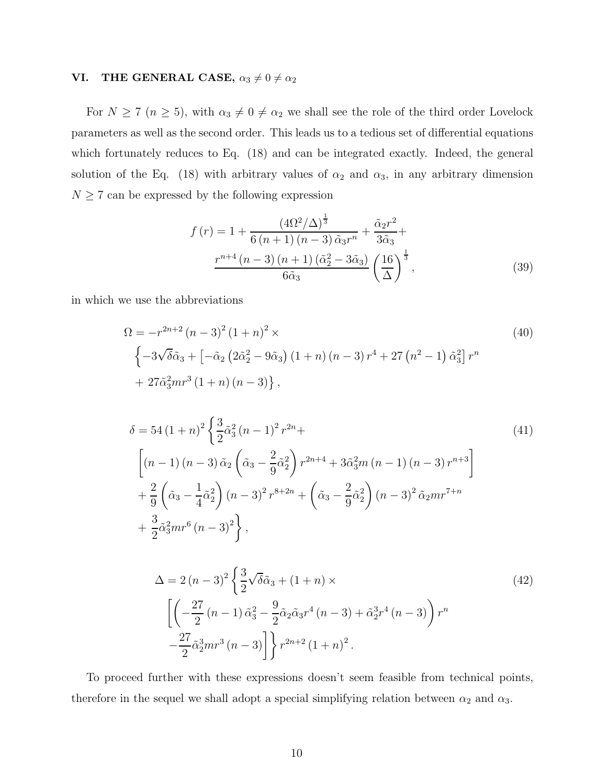# **VI.** THE GENERAL CASE,  $\alpha_3 \neq 0 \neq \alpha_2$

For  $N \ge 7$   $(n \ge 5)$ , with  $\alpha_3 \neq 0 \neq \alpha_2$  we shall see the role of the third order Lovelock parameters as well as the second order. This leads us to a tedious set of differential equations which fortunately reduces to Eq.  $(18)$  and can be integrated exactly. Indeed, the general solution of the Eq. (18) with arbitrary values of  $\alpha_2$  and  $\alpha_3$ , in any arbitrary dimension  $N \geq 7$  can be expressed by the following expression

$$
f(r) = 1 + \frac{(4\Omega^2/\Delta)^{\frac{1}{3}}}{6(n+1)(n-3)\tilde{\alpha}_3 r^n} + \frac{\tilde{\alpha}_2 r^2}{3\tilde{\alpha}_3} + \frac{r^{n+4}(n-3)(n+1)(\tilde{\alpha}_2^2 - 3\tilde{\alpha}_3)}{6\tilde{\alpha}_3} \left(\frac{16}{\Delta}\right)^{\frac{1}{3}},
$$
(39)

in which we use the abbreviations

$$
\Omega = -r^{2n+2} (n-3)^2 (1+n)^2 \times
$$
\n
$$
\left\{-3\sqrt{\delta\alpha_3} + \left[-\tilde{\alpha}_2 \left(2\tilde{\alpha}_2^2 - 9\tilde{\alpha}_3\right) (1+n) (n-3) r^4 + 27 \left(n^2 - 1\right) \tilde{\alpha}_3^2\right] r^n + 27 \tilde{\alpha}_3^2 mr^3 (1+n) (n-3)\right\},
$$
\n(40)

$$
\delta = 54 (1+n)^2 \left\{ \frac{3}{2} \tilde{\alpha}_3^2 (n-1)^2 r^{2n} + \left[ (n-1)(n-3) \tilde{\alpha}_2 \left( \tilde{\alpha}_3 - \frac{2}{9} \tilde{\alpha}_2^2 \right) r^{2n+4} + 3 \tilde{\alpha}_3^2 m (n-1) (n-3) r^{n+3} \right] + \frac{2}{9} \left( \tilde{\alpha}_3 - \frac{1}{4} \tilde{\alpha}_2^2 \right) (n-3)^2 r^{8+2n} + \left( \tilde{\alpha}_3 - \frac{2}{9} \tilde{\alpha}_2^2 \right) (n-3)^2 \tilde{\alpha}_2 m r^{7+n} + \frac{3}{2} \tilde{\alpha}_3^2 m r^6 (n-3)^2 \right\},
$$
\n
$$
(41)
$$

$$
\Delta = 2 (n - 3)^2 \left\{ \frac{3}{2} \sqrt{\delta} \tilde{\alpha}_3 + (1 + n) \times \left[ \left( -\frac{27}{2} (n - 1) \tilde{\alpha}_3^2 - \frac{9}{2} \tilde{\alpha}_2 \tilde{\alpha}_3 r^4 (n - 3) + \tilde{\alpha}_2^3 r^4 (n - 3) \right) r^n \right. \right\}
$$
\n
$$
- \frac{27}{2} \tilde{\alpha}_2^3 m r^3 (n - 3) \right\} r^{2n+2} (1 + n)^2.
$$
\n(42)

To proceed further with these expressions doesn't seem feasible from technical points, therefore in the sequel we shall adopt a special simplifying relation between  $\alpha_2$  and  $\alpha_3$ .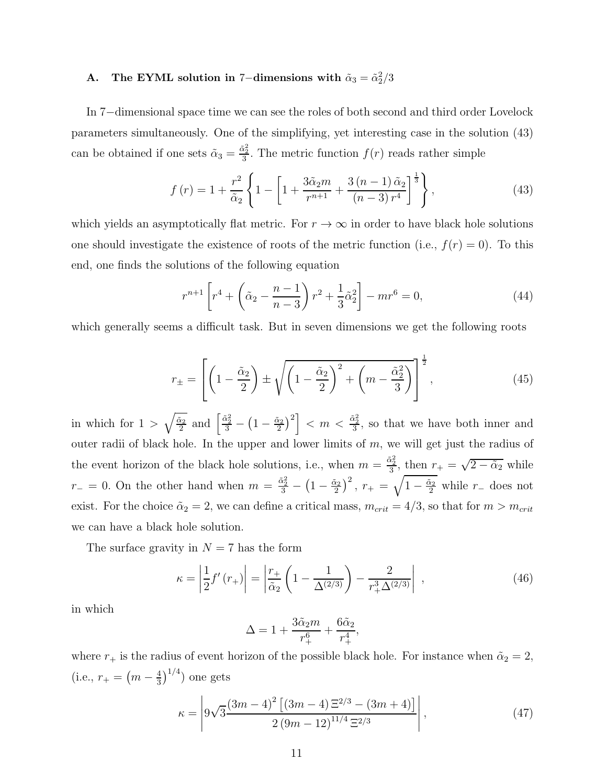# A. The EYML solution in 7-dimensions with  $\tilde{\alpha}_3 = \tilde{\alpha}_2^2/3$

In 7−dimensional space time we can see the roles of both second and third order Lovelock parameters simultaneously. One of the simplifying, yet interesting case in the solution (43) can be obtained if one sets  $\tilde{\alpha}_3 = \frac{\tilde{\alpha}_2^2}{3}$ . The metric function  $f(r)$  reads rather simple

$$
f(r) = 1 + \frac{r^2}{\tilde{\alpha}_2} \left\{ 1 - \left[ 1 + \frac{3\tilde{\alpha}_2 m}{r^{n+1}} + \frac{3\left(n-1\right)\tilde{\alpha}_2}{\left(n-3\right)r^4} \right]^{\frac{1}{3}} \right\},\tag{43}
$$

which yields an asymptotically flat metric. For  $r \to \infty$  in order to have black hole solutions one should investigate the existence of roots of the metric function (i.e.,  $f(r) = 0$ ). To this end, one finds the solutions of the following equation

$$
r^{n+1}\left[r^4 + \left(\tilde{\alpha}_2 - \frac{n-1}{n-3}\right)r^2 + \frac{1}{3}\tilde{\alpha}_2^2\right] - mr^6 = 0,\tag{44}
$$

which generally seems a difficult task. But in seven dimensions we get the following roots

$$
r_{\pm} = \left[ \left( 1 - \frac{\tilde{\alpha}_2}{2} \right) \pm \sqrt{\left( 1 - \frac{\tilde{\alpha}_2}{2} \right)^2 + \left( m - \frac{\tilde{\alpha}_2^2}{3} \right)} \right]^{\frac{1}{2}},\tag{45}
$$

in which for  $1 > \sqrt{\frac{\tilde{\alpha}_2}{2}}$  $\frac{\tilde{\alpha}_2}{2}$  and  $\frac{\tilde{\alpha}_2^2}{3} - \left(1 - \frac{\tilde{\alpha}_2}{2}\right)$  $\left[\frac{\tilde{x}_2}{2}\right)^2$  <  $m < \frac{\tilde{\alpha}_2^2}{3}$ , so that we have both inner and outer radii of black hole. In the upper and lower limits of  $m$ , we will get just the radius of the event horizon of the black hole solutions, i.e., when  $m = \frac{\tilde{\alpha}_2^2}{3}$ , then  $r_+ = \sqrt{2 - \tilde{\alpha}_2}$  while  $r_-=0.$  On the other hand when  $m=\frac{\tilde{\alpha}_2^2}{3}-\left(1-\frac{\tilde{\alpha}_2}{2}\right)$  $\left(\frac{\tilde{x}_2}{2}\right)^2$ ,  $r_+ = \sqrt{1 - \frac{\tilde{\alpha}_2}{2}}$  while  $r_-$  does not exist. For the choice  $\tilde{\alpha}_2 = 2$ , we can define a critical mass,  $m_{crit} = 4/3$ , so that for  $m > m_{crit}$ we can have a black hole solution.

The surface gravity in  $N = 7$  has the form

$$
\kappa = \left| \frac{1}{2} f'(r_+) \right| = \left| \frac{r_+}{\tilde{\alpha}_2} \left( 1 - \frac{1}{\Delta^{(2/3)}} \right) - \frac{2}{r_+^3 \Delta^{(2/3)}} \right| , \qquad (46)
$$

in which

$$
\Delta = 1 + \frac{3\tilde{\alpha}_2 m}{r_+^6} + \frac{6\tilde{\alpha}_2}{r_+^4},
$$

where  $r_+$  is the radius of event horizon of the possible black hole. For instance when  $\tilde{\alpha}_2 = 2$ , (i.e.,  $r_{+} = (m - \frac{4}{3})$  $\frac{4}{3}\big)^{1/4}$ ) one gets

$$
\kappa = \left| 9\sqrt{3} \frac{(3m-4)^2 \left[ (3m-4) \Xi^{2/3} - (3m+4) \right]}{2 \left( 9m-12 \right)^{11/4} \Xi^{2/3}} \right|, \tag{47}
$$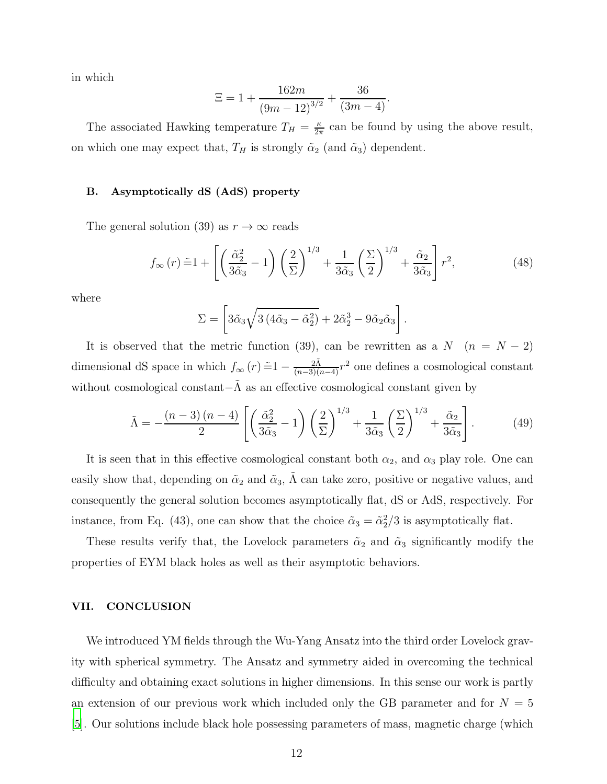in which

$$
\Xi = 1 + \frac{162m}{(9m - 12)^{3/2}} + \frac{36}{(3m - 4)}.
$$

The associated Hawking temperature  $T_H = \frac{\kappa}{2\pi}$  $\frac{\kappa}{2\pi}$  can be found by using the above result, on which one may expect that,  $T_H$  is strongly  $\tilde{\alpha}_2$  (and  $\tilde{\alpha}_3$ ) dependent.

### B. Asymptotically dS (AdS) property

The general solution (39) as  $r \to \infty$  reads

$$
f_{\infty}(r)\tilde{=}1+\left[\left(\frac{\tilde{\alpha}_2^2}{3\tilde{\alpha}_3}-1\right)\left(\frac{2}{\Sigma}\right)^{1/3}+\frac{1}{3\tilde{\alpha}_3}\left(\frac{\Sigma}{2}\right)^{1/3}+\frac{\tilde{\alpha}_2}{3\tilde{\alpha}_3}\right]r^2,\tag{48}
$$

where

$$
\Sigma = \left[3\tilde{\alpha}_3\sqrt{3(4\tilde{\alpha}_3 - \tilde{\alpha}_2^2)} + 2\tilde{\alpha}_2^3 - 9\tilde{\alpha}_2\tilde{\alpha}_3\right].
$$

It is observed that the metric function (39), can be rewritten as a  $N$  ( $n = N - 2$ ) dimensional dS space in which  $f_{\infty}(r) = 1 - \frac{2\tilde{\Lambda}}{(n-3)(n-4)}r^2$  one defines a cosmological constant without cosmological constant $-\Lambda$  as an effective cosmological constant given by

$$
\tilde{\Lambda} = -\frac{(n-3)(n-4)}{2} \left[ \left( \frac{\tilde{\alpha}_2^2}{3\tilde{\alpha}_3} - 1 \right) \left( \frac{2}{\Sigma} \right)^{1/3} + \frac{1}{3\tilde{\alpha}_3} \left( \frac{\Sigma}{2} \right)^{1/3} + \frac{\tilde{\alpha}_2}{3\tilde{\alpha}_3} \right].
$$
 (49)

It is seen that in this effective cosmological constant both  $\alpha_2$ , and  $\alpha_3$  play role. One can easily show that, depending on  $\tilde{\alpha}_2$  and  $\tilde{\alpha}_3$ ,  $\tilde{\Lambda}$  can take zero, positive or negative values, and consequently the general solution becomes asymptotically flat, dS or AdS, respectively. For instance, from Eq. (43), one can show that the choice  $\tilde{\alpha}_3 = \tilde{\alpha}_2^2/3$  is asymptotically flat.

These results verify that, the Lovelock parameters  $\tilde{\alpha}_2$  and  $\tilde{\alpha}_3$  significantly modify the properties of EYM black holes as well as their asymptotic behaviors.

## VII. CONCLUSION

We introduced YM fields through the Wu-Yang Ansatz into the third order Lovelock gravity with spherical symmetry. The Ansatz and symmetry aided in overcoming the technical difficulty and obtaining exact solutions in higher dimensions. In this sense our work is partly an extension of our previous work which included only the GB parameter and for  $N = 5$ [\[5](#page-12-3)]. Our solutions include black hole possessing parameters of mass, magnetic charge (which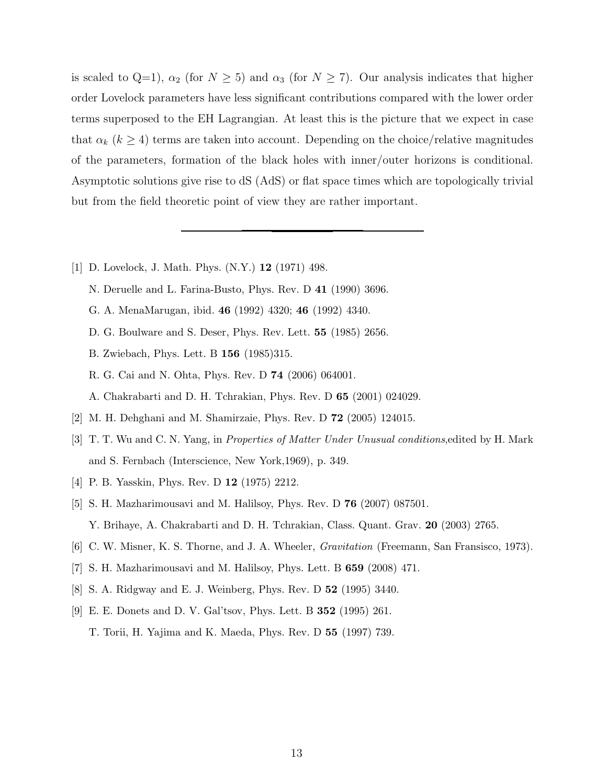is scaled to Q=1),  $\alpha_2$  (for  $N \ge 5$ ) and  $\alpha_3$  (for  $N \ge 7$ ). Our analysis indicates that higher order Lovelock parameters have less significant contributions compared with the lower order terms superposed to the EH Lagrangian. At least this is the picture that we expect in case that  $\alpha_k$  ( $k \geq 4$ ) terms are taken into account. Depending on the choice/relative magnitudes of the parameters, formation of the black holes with inner/outer horizons is conditional. Asymptotic solutions give rise to dS (AdS) or flat space times which are topologically trivial but from the field theoretic point of view they are rather important.

- <span id="page-12-0"></span>[1] D. Lovelock, J. Math. Phys. (N.Y.) 12 (1971) 498.
	- N. Deruelle and L. Farina-Busto, Phys. Rev. D 41 (1990) 3696.
	- G. A. MenaMarugan, ibid. 46 (1992) 4320; 46 (1992) 4340.
	- D. G. Boulware and S. Deser, Phys. Rev. Lett. 55 (1985) 2656.
	- B. Zwiebach, Phys. Lett. B 156 (1985)315.
	- R. G. Cai and N. Ohta, Phys. Rev. D 74 (2006) 064001.
	- A. Chakrabarti and D. H. Tchrakian, Phys. Rev. D 65 (2001) 024029.
- <span id="page-12-2"></span>[2] M. H. Dehghani and M. Shamirzaie, Phys. Rev. D 72 (2005) 124015.
- <span id="page-12-4"></span>[3] T. T. Wu and C. N. Yang, in Properties of Matter Under Unusual conditions,edited by H. Mark and S. Fernbach (Interscience, New York,1969), p. 349.
- <span id="page-12-5"></span>[4] P. B. Yasskin, Phys. Rev. D 12 (1975) 2212.
- <span id="page-12-3"></span>[5] S. H. Mazharimousavi and M. Halilsoy, Phys. Rev. D 76 (2007) 087501. Y. Brihaye, A. Chakrabarti and D. H. Tchrakian, Class. Quant. Grav. 20 (2003) 2765.
- <span id="page-12-7"></span><span id="page-12-6"></span>[6] C. W. Misner, K. S. Thorne, and J. A. Wheeler, Gravitation (Freemann, San Fransisco, 1973).
- [7] S. H. Mazharimousavi and M. Halilsoy, Phys. Lett. B 659 (2008) 471.
- <span id="page-12-8"></span>[8] S. A. Ridgway and E. J. Weinberg, Phys. Rev. D 52 (1995) 3440.
- <span id="page-12-1"></span>[9] E. E. Donets and D. V. Gal'tsov, Phys. Lett. B 352 (1995) 261. T. Torii, H. Yajima and K. Maeda, Phys. Rev. D 55 (1997) 739.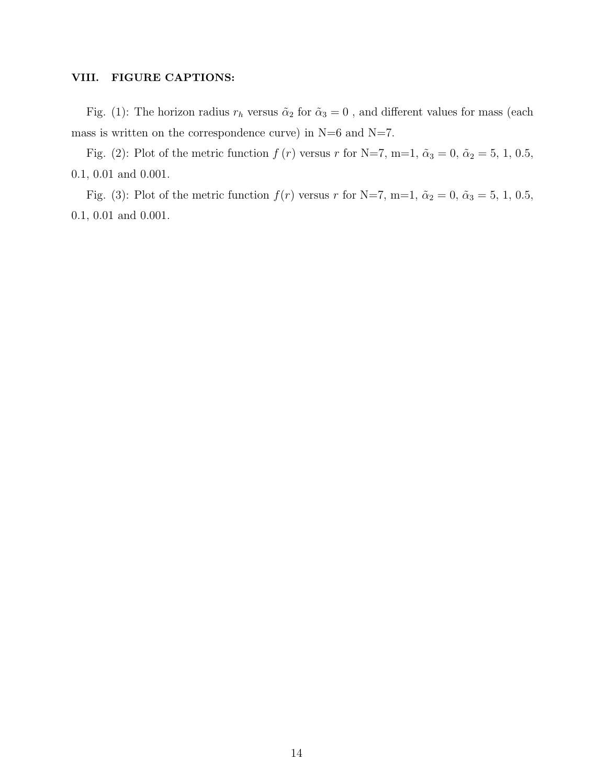## VIII. FIGURE CAPTIONS:

Fig. (1): The horizon radius  $r_h$  versus  $\tilde{\alpha}_2$  for  $\tilde{\alpha}_3 = 0$ , and different values for mass (each mass is written on the correspondence curve) in  $N=6$  and  $N=7$ .

Fig. (2): Plot of the metric function  $f(r)$  versus r for N=7, m=1,  $\tilde{\alpha}_3 = 0$ ,  $\tilde{\alpha}_2 = 5$ , 1, 0.5, 0.1, 0.01 and 0.001.

Fig. (3): Plot of the metric function  $f(r)$  versus r for N=7, m=1,  $\tilde{\alpha}_2 = 0$ ,  $\tilde{\alpha}_3 = 5$ , 1, 0.5, 0.1, 0.01 and 0.001.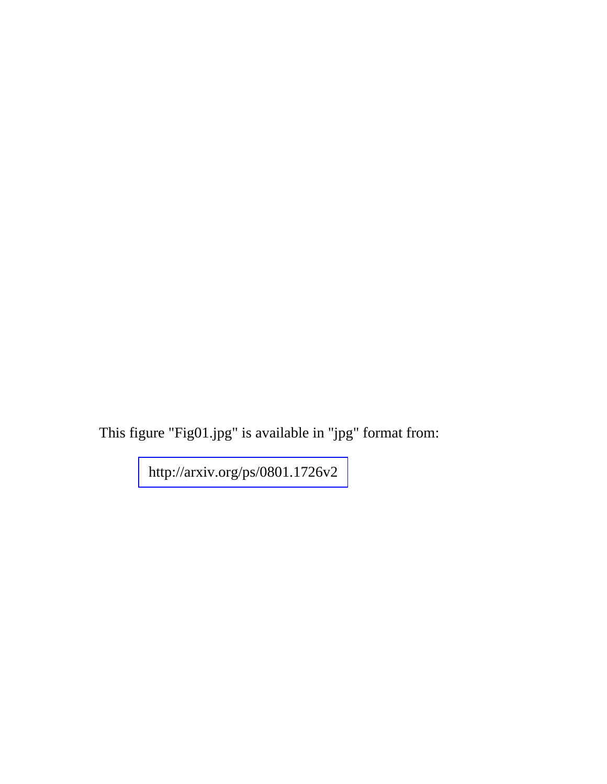This figure "Fig01.jpg" is available in "jpg" format from:

<http://arxiv.org/ps/0801.1726v2>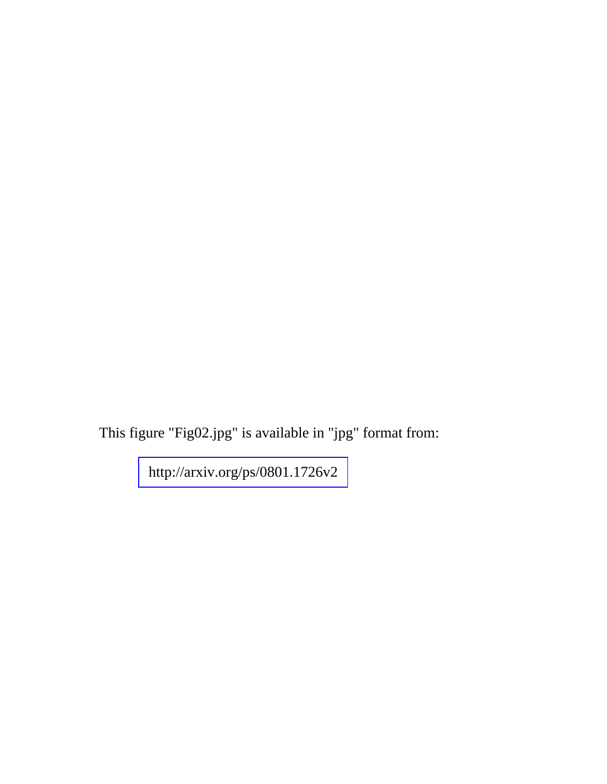This figure "Fig02.jpg" is available in "jpg" format from:

<http://arxiv.org/ps/0801.1726v2>